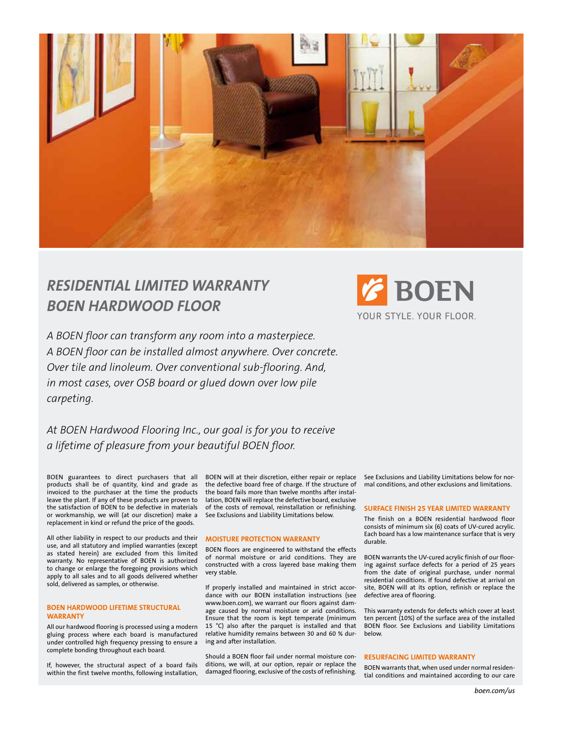

# *Residential limited warranty BOEN Hardwood Floor*

*A BOEN floor can transform any room into a masterpiece. A BOEN floor can be installed almost anywhere. Over concrete. Over tile and linoleum. Over conventional sub-flooring. And, in most cases, over OSB board or glued down over low pile carpeting.* 



*At BOEN Hardwood Flooring Inc., our goal is for you to receive a lifetime of pleasure from your beautiful BOEN floor.* 

BOEN guarantees to direct purchasers that all products shall be of quantity, kind and grade as invoiced to the purchaser at the time the products leave the plant. If any of these products are proven to the satisfaction of BOEN to be defective in materials or workmanship, we will (at our discretion) make a replacement in kind or refund the price of the goods.

All other liability in respect to our products and their use, and all statutory and implied warranties (except as stated herein) are excluded from this limited warranty. No representative of BOEN is authorized to change or enlarge the foregoing provisions which apply to all sales and to all goods delivered whether sold, delivered as samples, or otherwise.

# **BOEN HARDWOOD LIFETIME STRUCTURAL WARRANTY**

All our hardwood flooring is processed using a modern gluing process where each board is manufactured under controlled high frequency pressing to ensure a complete bonding throughout each board.

If, however, the structural aspect of a board fails within the first twelve months, following installation,

BOEN will at their discretion, either repair or replace the defective board free of charge. If the structure of the board fails more than twelve months after installation, BOEN will replace the defective board, exclusive of the costs of removal, reinstallation or refinishing. See Exclusions and Liability Limitations below.

# **MOISTURE PROTECTION WARRANTY**

BOEN floors are engineered to withstand the effects of normal moisture or arid conditions. They are constructed with a cross layered base making them very stable.

If properly installed and maintained in strict accordance with our BOEN installation instructions (see www.boen.com), we warrant our floors against damage caused by normal moisture or arid conditions. Ensure that the room is kept temperate (minimum 15 °C) also after the parquet is installed and that relative humidity remains between 30 and 60 % during and after installation.

Should a BOEN floor fail under normal moisture conditions, we will, at our option, repair or replace the damaged flooring, exclusive of the costs of refinishing.

See Exclusions and Liability Limitations below for normal conditions, and other exclusions and limitations.

#### **SURFACE FINISH 25 YEAR LIMITED WARRANTY**

The finish on a BOEN residential hardwood floor consists of minimum six (6) coats of UV-cured acrylic. Each board has a low maintenance surface that is very durable.

BOEN warrants the UV-cured acrylic finish of our flooring against surface defects for a period of 25 years from the date of original purchase, under normal residential conditions. If found defective at arrival on site, BOEN will at its option, refinish or replace the defective area of flooring.

This warranty extends for defects which cover at least ten percent (10%) of the surface area of the installed BOEN floor. See Exclusions and Liability Limitations below.

#### **RESURFACING LIMITED WARRANTY**

BOEN warrants that, when used under normal residential conditions and maintained according to our care